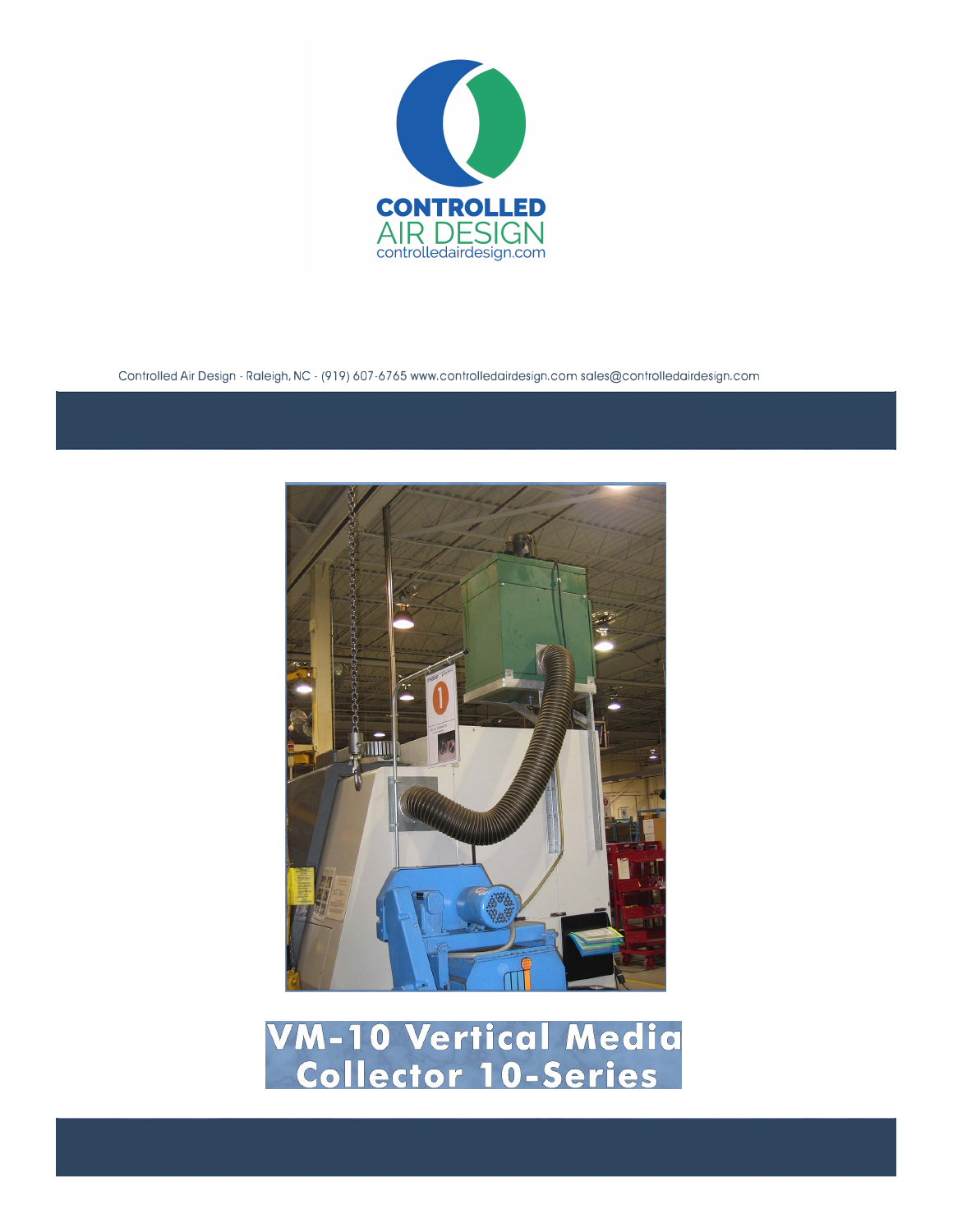

Controlled Air Design - Raleigh, NC - (919) 607-6765 www.controlledairdesign.com sales@controlledairdesign.com



**VM-10 Vertical Media<br>Collector 10-Series**